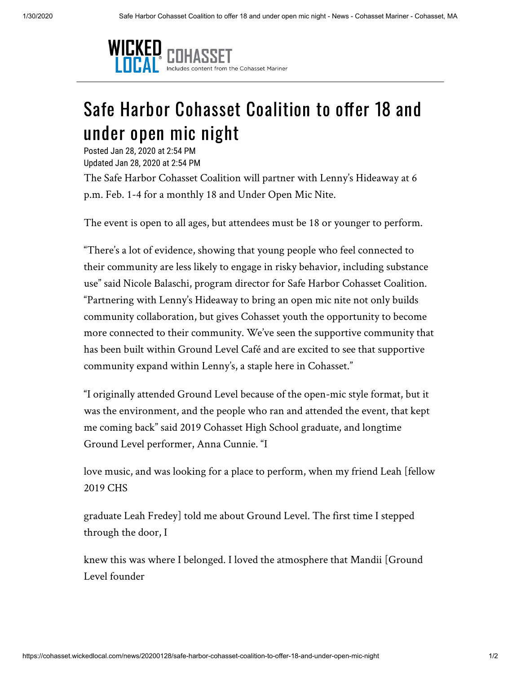

## Safe Harbor Cohasset Coalition to offer 18 and under open mic night

Posted Jan 28, 2020 at 2:54 PM Updated Jan 28, 2020 at 2:54 PM

The Safe Harbor Cohasset Coalition will partner with Lenny's Hideaway at 6 p.m. Feb. 1-4 for a monthly 18 and Under Open Mic Nite.

The event is open to all ages, but attendees must be 18 or younger to perform.

"There's a lot of evidence, showing that young people who feel connected to their community are less likely to engage in risky behavior, including substance use" said Nicole Balaschi, program director for Safe Harbor Cohasset Coalition. "Partnering with Lenny's Hideaway to bring an open mic nite not only builds community collaboration, but gives Cohasset youth the opportunity to become more connected to their community. We've seen the supportive community that has been built within Ground Level Café and are excited to see that supportive community expand within Lenny's, a staple here in Cohasset."

"I originally attended Ground Level because of the open-mic style format, but it was the environment, and the people who ran and attended the event, that kept me coming back" said 2019 Cohasset High School graduate, and longtime Ground Level performer, Anna Cunnie. "I

love music, and was looking for a place to perform, when my friend Leah [fellow 2019 CHS

graduate Leah Fredey] told me about Ground Level. The first time I stepped through the door, I

knew this was where I belonged. I loved the atmosphere that Mandii [Ground Level founder